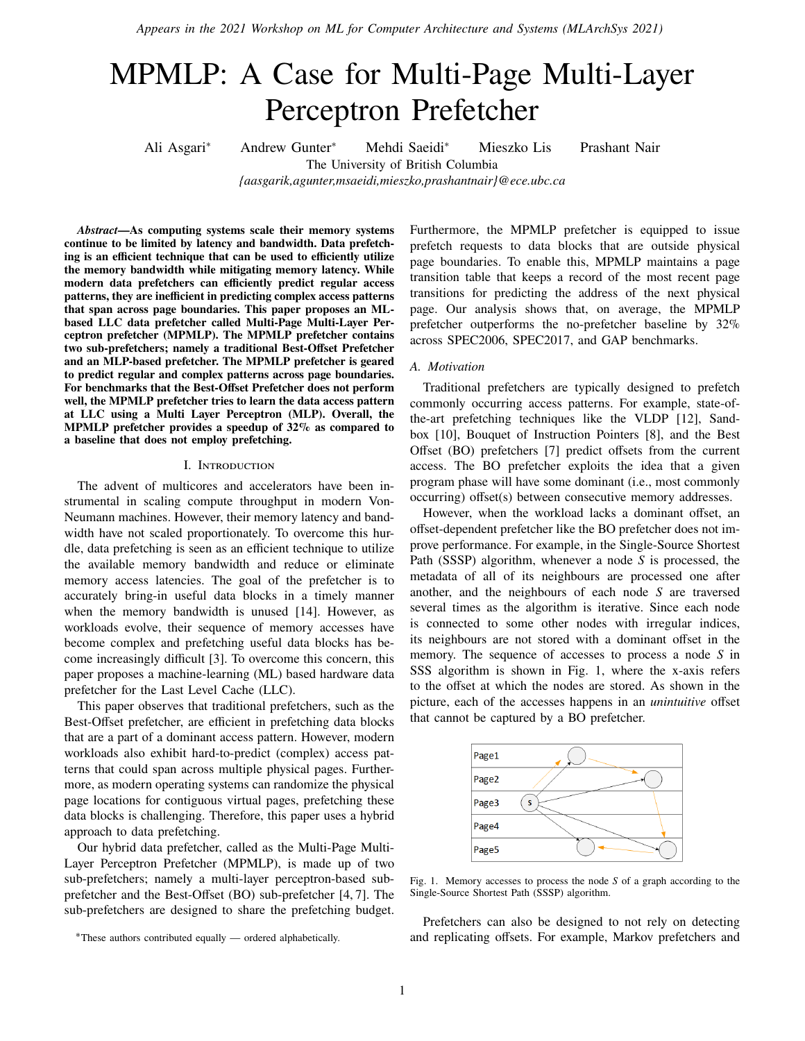*Appears in the 2021 Workshop on ML for Computer Architecture and Systems (MLArchSys 2021)*

# MPMLP: A Case for Multi-Page Multi-Layer Perceptron Prefetcher

Ali Asgari<sup>∗</sup> Andrew Gunter<sup>∗</sup> Mehdi Saeidi<sup>∗</sup> Mieszko Lis Prashant Nair The University of British Columbia

*{aasgarik,agunter,msaeidi,mieszko,prashantnair}@ece.ubc.ca*

#### *Abstract***—As computing systems scale their memory systems continue to be limited by latency and bandwidth. Data prefetching is an efficient technique that can be used to efficiently utilize the memory bandwidth while mitigating memory latency. While modern data prefetchers can efficiently predict regular access patterns, they are inefficient in predicting complex access patterns that span across page boundaries. This paper proposes an MLbased LLC data prefetcher called Multi-Page Multi-Layer Perceptron prefetcher (MPMLP). The MPMLP prefetcher contains two sub-prefetchers; namely a traditional Best-Offset Prefetcher and an MLP-based prefetcher. The MPMLP prefetcher is geared to predict regular and complex patterns across page boundaries. For benchmarks that the Best-Offset Prefetcher does not perform well, the MPMLP prefetcher tries to learn the data access pattern at LLC using a Multi Layer Perceptron (MLP). Overall, the MPMLP prefetcher provides a speedup of 32% as compared to a baseline that does not employ prefetching.**

#### I. Introduction

The advent of multicores and accelerators have been instrumental in scaling compute throughput in modern Von-Neumann machines. However, their memory latency and bandwidth have not scaled proportionately. To overcome this hurdle, data prefetching is seen as an efficient technique to utilize the available memory bandwidth and reduce or eliminate memory access latencies. The goal of the prefetcher is to accurately bring-in useful data blocks in a timely manner when the memory bandwidth is unused [14]. However, as workloads evolve, their sequence of memory accesses have become complex and prefetching useful data blocks has become increasingly difficult [3]. To overcome this concern, this paper proposes a machine-learning (ML) based hardware data prefetcher for the Last Level Cache (LLC).

This paper observes that traditional prefetchers, such as the Best-Offset prefetcher, are efficient in prefetching data blocks that are a part of a dominant access pattern. However, modern workloads also exhibit hard-to-predict (complex) access patterns that could span across multiple physical pages. Furthermore, as modern operating systems can randomize the physical page locations for contiguous virtual pages, prefetching these data blocks is challenging. Therefore, this paper uses a hybrid approach to data prefetching.

Our hybrid data prefetcher, called as the Multi-Page Multi-Layer Perceptron Prefetcher (MPMLP), is made up of two sub-prefetchers; namely a multi-layer perceptron-based subprefetcher and the Best-Offset (BO) sub-prefetcher [4, 7]. The sub-prefetchers are designed to share the prefetching budget.

Furthermore, the MPMLP prefetcher is equipped to issue prefetch requests to data blocks that are outside physical page boundaries. To enable this, MPMLP maintains a page transition table that keeps a record of the most recent page transitions for predicting the address of the next physical page. Our analysis shows that, on average, the MPMLP prefetcher outperforms the no-prefetcher baseline by 32% across SPEC2006, SPEC2017, and GAP benchmarks.

#### *A. Motivation*

Traditional prefetchers are typically designed to prefetch commonly occurring access patterns. For example, state-ofthe-art prefetching techniques like the VLDP [12], Sandbox [10], Bouquet of Instruction Pointers [8], and the Best Offset (BO) prefetchers [7] predict offsets from the current access. The BO prefetcher exploits the idea that a given program phase will have some dominant (i.e., most commonly occurring) offset(s) between consecutive memory addresses.

However, when the workload lacks a dominant offset, an offset-dependent prefetcher like the BO prefetcher does not improve performance. For example, in the Single-Source Shortest Path (SSSP) algorithm, whenever a node *S* is processed, the metadata of all of its neighbours are processed one after another, and the neighbours of each node *S* are traversed several times as the algorithm is iterative. Since each node is connected to some other nodes with irregular indices, its neighbours are not stored with a dominant offset in the memory. The sequence of accesses to process a node *S* in SSS algorithm is shown in Fig. 1, where the x-axis refers to the offset at which the nodes are stored. As shown in the picture, each of the accesses happens in an *unintuitive* offset that cannot be captured by a BO prefetcher.



Fig. 1. Memory accesses to process the node *S* of a graph according to the Single-Source Shortest Path (SSSP) algorithm.

Prefetchers can also be designed to not rely on detecting and replicating offsets. For example, Markov prefetchers and

<sup>∗</sup>These authors contributed equally — ordered alphabetically.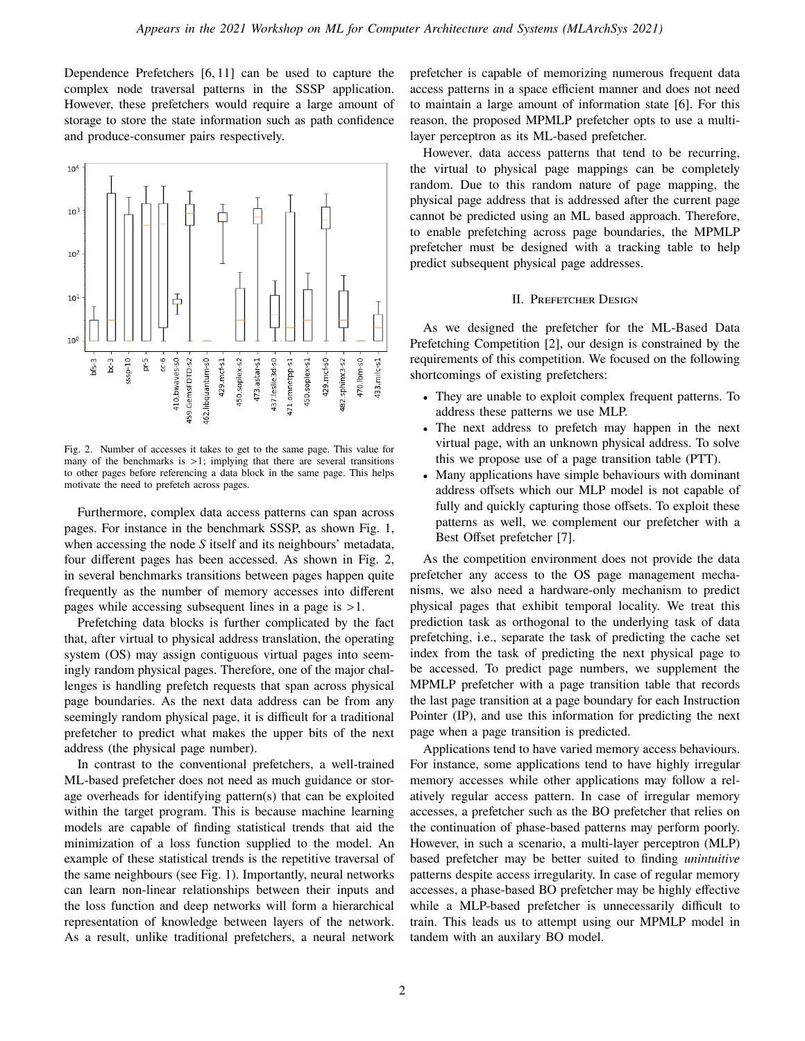Dependence Prefetchers [6, 11] can be used to capture the complex node traversal patterns in the SSSP application. However, these prefetchers would require a large amount of storage to store the state information such as path confidence and produce-consumer pairs respectively.



Fig. 2. Number of accesses it takes to get to the same page. This value for many of the benchmarks is  $>1$ ; implying that there are several transitions to other pages before referencing a data block in the same page. This helps motivate the need to prefetch across pages.

Furthermore, complex data access patterns can span across pages. For instance in the benchmark SSSP, as shown Fig. 1, when accessing the node *S* itself and its neighbours' metadata, four different pages has been accessed. As shown in Fig. 2, in several benchmarks transitions between pages happen quite frequently as the number of memory accesses into different pages while accessing subsequent lines in a page is >1.

Prefetching data blocks is further complicated by the fact that, after virtual to physical address translation, the operating system (OS) may assign contiguous virtual pages into seemingly random physical pages. Therefore, one of the major challenges is handling prefetch requests that span across physical page boundaries. As the next data address can be from any seemingly random physical page, it is difficult for a traditional prefetcher to predict what makes the upper bits of the next address (the physical page number).

In contrast to the conventional prefetchers, a well-trained ML-based prefetcher does not need as much guidance or storage overheads for identifying pattern(s) that can be exploited within the target program. This is because machine learning models are capable of finding statistical trends that aid the minimization of a loss function supplied to the model. An example of these statistical trends is the repetitive traversal of the same neighbours (see Fig. 1). Importantly, neural networks can learn non-linear relationships between their inputs and the loss function and deep networks will form a hierarchical representation of knowledge between layers of the network. As a result, unlike traditional prefetchers, a neural network

prefetcher is capable of memorizing numerous frequent data access patterns in a space efficient manner and does not need to maintain a large amount of information state [6]. For this reason, the proposed MPMLP prefetcher opts to use a multilayer perceptron as its ML-based prefetcher.

However, data access patterns that tend to be recurring, the virtual to physical page mappings can be completely random. Due to this random nature of page mapping, the physical page address that is addressed after the current page cannot be predicted using an ML based approach. Therefore, to enable prefetching across page boundaries, the MPMLP prefetcher must be designed with a tracking table to help predict subsequent physical page addresses.

#### II. Prefetcher Design

As we designed the prefetcher for the ML-Based Data Prefetching Competition [2], our design is constrained by the requirements of this competition. We focused on the following shortcomings of existing prefetchers:

- They are unable to exploit complex frequent patterns. To address these patterns we use MLP.
- The next address to prefetch may happen in the next virtual page, with an unknown physical address. To solve this we propose use of a page transition table (PTT).
- Many applications have simple behaviours with dominant address offsets which our MLP model is not capable of fully and quickly capturing those offsets. To exploit these patterns as well, we complement our prefetcher with a Best Offset prefetcher [7].

As the competition environment does not provide the data prefetcher any access to the OS page management mechanisms, we also need a hardware-only mechanism to predict physical pages that exhibit temporal locality. We treat this prediction task as orthogonal to the underlying task of data prefetching, i.e., separate the task of predicting the cache set index from the task of predicting the next physical page to be accessed. To predict page numbers, we supplement the MPMLP prefetcher with a page transition table that records the last page transition at a page boundary for each Instruction Pointer (IP), and use this information for predicting the next page when a page transition is predicted.

Applications tend to have varied memory access behaviours. For instance, some applications tend to have highly irregular memory accesses while other applications may follow a relatively regular access pattern. In case of irregular memory accesses, a prefetcher such as the BO prefetcher that relies on the continuation of phase-based patterns may perform poorly. However, in such a scenario, a multi-layer perceptron (MLP) based prefetcher may be better suited to finding *unintuitive* patterns despite access irregularity. In case of regular memory accesses, a phase-based BO prefetcher may be highly effective while a MLP-based prefetcher is unnecessarily difficult to train. This leads us to attempt using our MPMLP model in tandem with an auxilary BO model.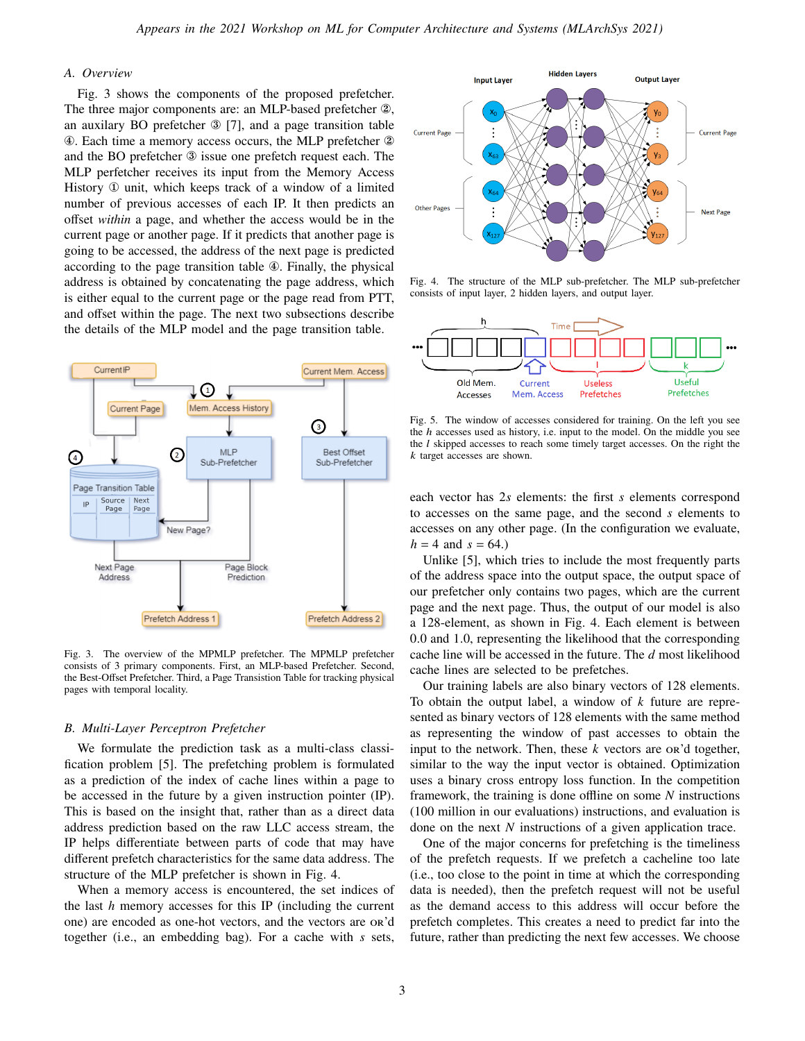# *A. Overview*

Fig. 3 shows the components of the proposed prefetcher. The three major components are: an MLP-based prefetcher ②, an auxilary BO prefetcher ③ [7], and a page transition table ④. Each time a memory access occurs, the MLP prefetcher ② and the BO prefetcher ③ issue one prefetch request each. The MLP perfetcher receives its input from the Memory Access History ① unit, which keeps track of a window of a limited number of previous accesses of each IP. It then predicts an offset *within* a page, and whether the access would be in the current page or another page. If it predicts that another page is going to be accessed, the address of the next page is predicted according to the page transition table ④. Finally, the physical address is obtained by concatenating the page address, which is either equal to the current page or the page read from PTT, and offset within the page. The next two subsections describe the details of the MLP model and the page transition table.



Fig. 3. The overview of the MPMLP prefetcher. The MPMLP prefetcher consists of 3 primary components. First, an MLP-based Prefetcher. Second, the Best-Offset Prefetcher. Third, a Page Transistion Table for tracking physical pages with temporal locality.

#### *B. Multi-Layer Perceptron Prefetcher*

We formulate the prediction task as a multi-class classification problem [5]. The prefetching problem is formulated as a prediction of the index of cache lines within a page to be accessed in the future by a given instruction pointer (IP). This is based on the insight that, rather than as a direct data address prediction based on the raw LLC access stream, the IP helps differentiate between parts of code that may have different prefetch characteristics for the same data address. The structure of the MLP prefetcher is shown in Fig. 4.

When a memory access is encountered, the set indices of the last  $h$  memory accesses for this IP (including the current one) are encoded as one-hot vectors, and the vectors are or'd together (i.e., an embedding bag). For a cache with  $s$  sets,



Fig. 4. The structure of the MLP sub-prefetcher. The MLP sub-prefetcher consists of input layer, 2 hidden layers, and output layer.



Fig. 5. The window of accesses considered for training. On the left you see the  $h$  accesses used as history, i.e. input to the model. On the middle you see the  $l$  skipped accesses to reach some timely target accesses. On the right the  $k$  target accesses are shown.

each vector has  $2s$  elements: the first  $s$  elements correspond to accesses on the same page, and the second  $s$  elements to accesses on any other page. (In the configuration we evaluate,  $h = 4$  and  $s = 64.$ )

Unlike [5], which tries to include the most frequently parts of the address space into the output space, the output space of our prefetcher only contains two pages, which are the current page and the next page. Thus, the output of our model is also a 128-element, as shown in Fig. 4. Each element is between 0.0 and 1.0, representing the likelihood that the corresponding cache line will be accessed in the future. The d most likelihood cache lines are selected to be prefetches.

Our training labels are also binary vectors of 128 elements. To obtain the output label, a window of  $k$  future are represented as binary vectors of 128 elements with the same method as representing the window of past accesses to obtain the input to the network. Then, these  $k$  vectors are or  $d$  together, similar to the way the input vector is obtained. Optimization uses a binary cross entropy loss function. In the competition framework, the training is done offline on some  $N$  instructions (100 million in our evaluations) instructions, and evaluation is done on the next  $N$  instructions of a given application trace.

One of the major concerns for prefetching is the timeliness of the prefetch requests. If we prefetch a cacheline too late (i.e., too close to the point in time at which the corresponding data is needed), then the prefetch request will not be useful as the demand access to this address will occur before the prefetch completes. This creates a need to predict far into the future, rather than predicting the next few accesses. We choose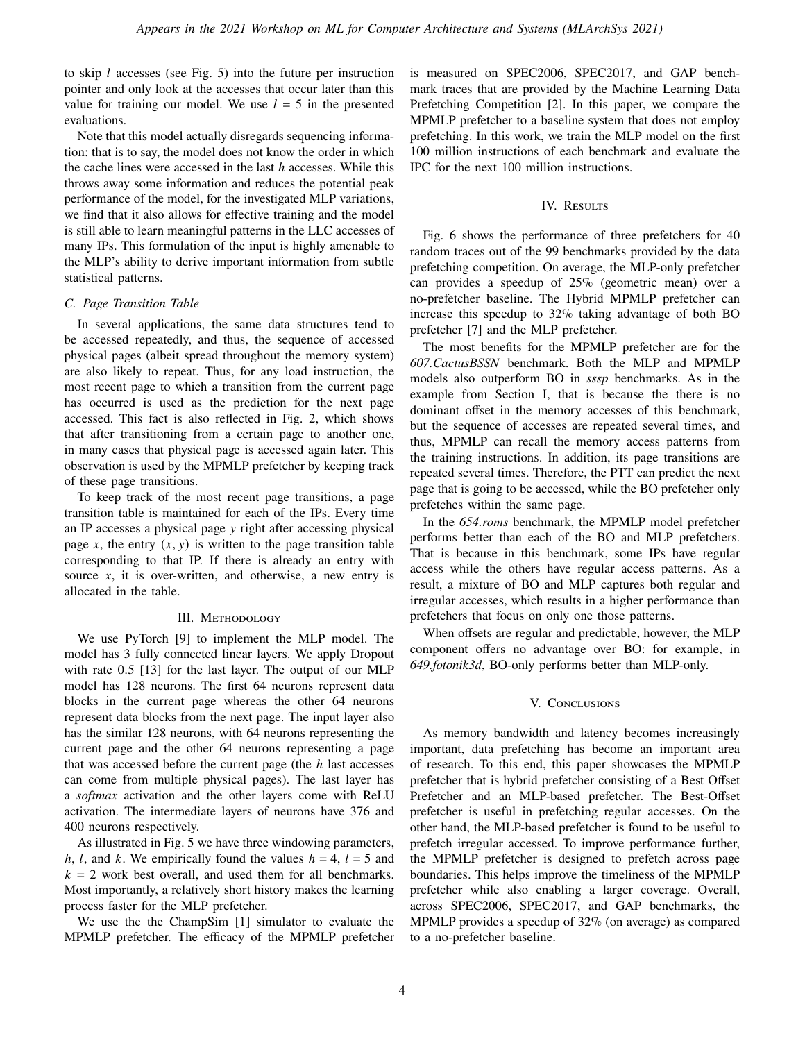to skip  $l$  accesses (see Fig. 5) into the future per instruction pointer and only look at the accesses that occur later than this value for training our model. We use  $l = 5$  in the presented evaluations.

Note that this model actually disregards sequencing information: that is to say, the model does not know the order in which the cache lines were accessed in the last  $h$  accesses. While this throws away some information and reduces the potential peak performance of the model, for the investigated MLP variations, we find that it also allows for effective training and the model is still able to learn meaningful patterns in the LLC accesses of many IPs. This formulation of the input is highly amenable to the MLP's ability to derive important information from subtle statistical patterns.

### *C. Page Transition Table*

In several applications, the same data structures tend to be accessed repeatedly, and thus, the sequence of accessed physical pages (albeit spread throughout the memory system) are also likely to repeat. Thus, for any load instruction, the most recent page to which a transition from the current page has occurred is used as the prediction for the next page accessed. This fact is also reflected in Fig. 2, which shows that after transitioning from a certain page to another one, in many cases that physical page is accessed again later. This observation is used by the MPMLP prefetcher by keeping track of these page transitions.

To keep track of the most recent page transitions, a page transition table is maintained for each of the IPs. Every time an IP accesses a physical page y right after accessing physical page x, the entry  $(x, y)$  is written to the page transition table corresponding to that IP. If there is already an entry with source  $x$ , it is over-written, and otherwise, a new entry is allocated in the table.

#### III. METHODOLOGY

We use PyTorch [9] to implement the MLP model. The model has 3 fully connected linear layers. We apply Dropout with rate 0.5 [13] for the last layer. The output of our MLP model has 128 neurons. The first 64 neurons represent data blocks in the current page whereas the other 64 neurons represent data blocks from the next page. The input layer also has the similar 128 neurons, with 64 neurons representing the current page and the other 64 neurons representing a page that was accessed before the current page (the  $h$  last accesses can come from multiple physical pages). The last layer has a *softmax* activation and the other layers come with ReLU activation. The intermediate layers of neurons have 376 and 400 neurons respectively.

As illustrated in Fig. 5 we have three windowing parameters, h, l, and k. We empirically found the values  $h = 4$ ,  $l = 5$  and  $k = 2$  work best overall, and used them for all benchmarks. Most importantly, a relatively short history makes the learning process faster for the MLP prefetcher.

We use the the ChampSim [1] simulator to evaluate the MPMLP prefetcher. The efficacy of the MPMLP prefetcher is measured on SPEC2006, SPEC2017, and GAP benchmark traces that are provided by the Machine Learning Data Prefetching Competition [2]. In this paper, we compare the MPMLP prefetcher to a baseline system that does not employ prefetching. In this work, we train the MLP model on the first 100 million instructions of each benchmark and evaluate the IPC for the next 100 million instructions.

## IV. RESULTS

Fig. 6 shows the performance of three prefetchers for 40 random traces out of the 99 benchmarks provided by the data prefetching competition. On average, the MLP-only prefetcher can provides a speedup of 25% (geometric mean) over a no-prefetcher baseline. The Hybrid MPMLP prefetcher can increase this speedup to 32% taking advantage of both BO prefetcher [7] and the MLP prefetcher.

The most benefits for the MPMLP prefetcher are for the *607.CactusBSSN* benchmark. Both the MLP and MPMLP models also outperform BO in *sssp* benchmarks. As in the example from Section I, that is because the there is no dominant offset in the memory accesses of this benchmark, but the sequence of accesses are repeated several times, and thus, MPMLP can recall the memory access patterns from the training instructions. In addition, its page transitions are repeated several times. Therefore, the PTT can predict the next page that is going to be accessed, while the BO prefetcher only prefetches within the same page.

In the *654.roms* benchmark, the MPMLP model prefetcher performs better than each of the BO and MLP prefetchers. That is because in this benchmark, some IPs have regular access while the others have regular access patterns. As a result, a mixture of BO and MLP captures both regular and irregular accesses, which results in a higher performance than prefetchers that focus on only one those patterns.

When offsets are regular and predictable, however, the MLP component offers no advantage over BO: for example, in *649.fotonik3d*, BO-only performs better than MLP-only.

#### V. CONCLUSIONS

As memory bandwidth and latency becomes increasingly important, data prefetching has become an important area of research. To this end, this paper showcases the MPMLP prefetcher that is hybrid prefetcher consisting of a Best Offset Prefetcher and an MLP-based prefetcher. The Best-Offset prefetcher is useful in prefetching regular accesses. On the other hand, the MLP-based prefetcher is found to be useful to prefetch irregular accessed. To improve performance further, the MPMLP prefetcher is designed to prefetch across page boundaries. This helps improve the timeliness of the MPMLP prefetcher while also enabling a larger coverage. Overall, across SPEC2006, SPEC2017, and GAP benchmarks, the MPMLP provides a speedup of 32% (on average) as compared to a no-prefetcher baseline.